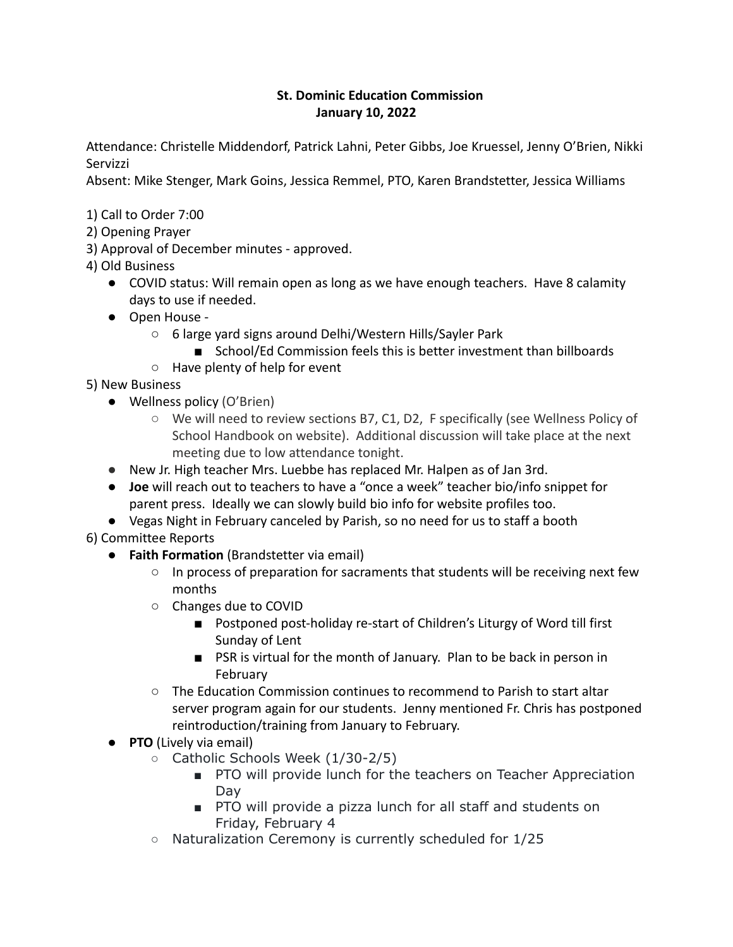## **St. Dominic Education Commission January 10, 2022**

Attendance: Christelle Middendorf, Patrick Lahni, Peter Gibbs, Joe Kruessel, Jenny O'Brien, Nikki Servizzi

Absent: Mike Stenger, Mark Goins, Jessica Remmel, PTO, Karen Brandstetter, Jessica Williams

- 1) Call to Order 7:00
- 2) Opening Prayer
- 3) Approval of December minutes approved.
- 4) Old Business
	- COVID status: Will remain open as long as we have enough teachers. Have 8 calamity days to use if needed.
	- Open House
		- 6 large yard signs around Delhi/Western Hills/Sayler Park
			- School/Ed Commission feels this is better investment than billboards
		- Have plenty of help for event

5) New Business

- Wellness policy (O'Brien)
	- We will need to review sections B7, C1, D2, F specifically (see Wellness Policy of School Handbook on website). Additional discussion will take place at the next meeting due to low attendance tonight.
- New Jr. High teacher Mrs. Luebbe has replaced Mr. Halpen as of Jan 3rd.
- **Joe** will reach out to teachers to have a "once a week" teacher bio/info snippet for parent press. Ideally we can slowly build bio info for website profiles too.
- Vegas Night in February canceled by Parish, so no need for us to staff a booth
- 6) Committee Reports
	- **Faith Formation** (Brandstetter via email)
		- In process of preparation for sacraments that students will be receiving next few months
		- Changes due to COVID
			- Postponed post-holiday re-start of Children's Liturgy of Word till first Sunday of Lent
			- PSR is virtual for the month of January. Plan to be back in person in February
		- The Education Commission continues to recommend to Parish to start altar server program again for our students. Jenny mentioned Fr. Chris has postponed reintroduction/training from January to February.
	- **PTO** (Lively via email)
		- Catholic Schools Week (1/30-2/5)
			- PTO will provide lunch for the teachers on Teacher Appreciation Day
			- PTO will provide a pizza lunch for all staff and students on Friday, February 4
		- Naturalization Ceremony is currently scheduled for 1/25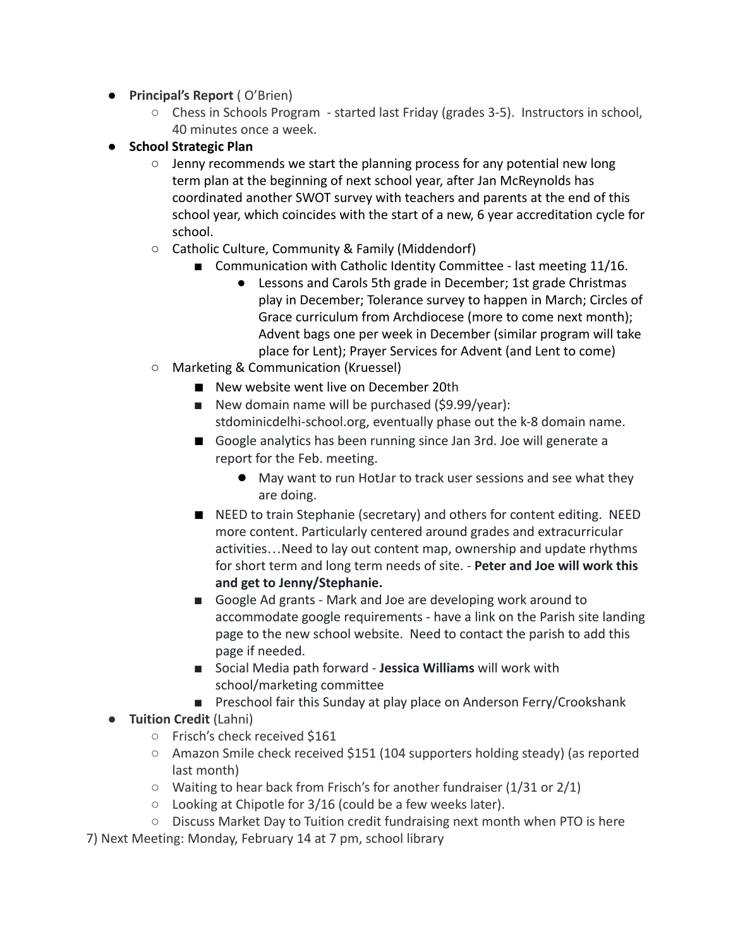- **Principal's Report** ( O'Brien)
	- Chess in Schools Program started last Friday (grades 3-5). Instructors in school, 40 minutes once a week.
- **School Strategic Plan**
	- $\circ$  Jenny recommends we start the planning process for any potential new long term plan at the beginning of next school year, after Jan McReynolds has coordinated another SWOT survey with teachers and parents at the end of this school year, which coincides with the start of a new, 6 year accreditation cycle for school.
	- Catholic Culture, Community & Family (Middendorf)
		- Communication with Catholic Identity Committee last meeting 11/16.
			- Lessons and Carols 5th grade in December; 1st grade Christmas play in December; Tolerance survey to happen in March; Circles of Grace curriculum from Archdiocese (more to come next month); Advent bags one per week in December (similar program will take place for Lent); Prayer Services for Advent (and Lent to come)
	- Marketing & Communication (Kruessel)
		- New website went live on December 20th
		- New domain name will be purchased (\$9.99/year): stdominicdelhi-school.org, eventually phase out the k-8 domain name.
		- Google analytics has been running since Jan 3rd. Joe will generate a report for the Feb. meeting.
			- May want to run HotJar to track user sessions and see what they are doing.
		- NEED to train Stephanie (secretary) and others for content editing. NEED more content. Particularly centered around grades and extracurricular activities…Need to lay out content map, ownership and update rhythms for short term and long term needs of site. - **Peter and Joe will work this and get to Jenny/Stephanie.**
		- Google Ad grants Mark and Joe are developing work around to accommodate google requirements - have a link on the Parish site landing page to the new school website. Need to contact the parish to add this page if needed.
		- Social Media path forward **Jessica Williams** will work with school/marketing committee
		- Preschool fair this Sunday at play place on Anderson Ferry/Crookshank
- **Tuition Credit** (Lahni)
	- Frisch's check received \$161
	- Amazon Smile check received \$151 (104 supporters holding steady) (as reported last month)
	- Waiting to hear back from Frisch's for another fundraiser (1/31 or 2/1)
	- Looking at Chipotle for 3/16 (could be a few weeks later).
	- Discuss Market Day to Tuition credit fundraising next month when PTO is here
- 7) Next Meeting: Monday, February 14 at 7 pm, school library